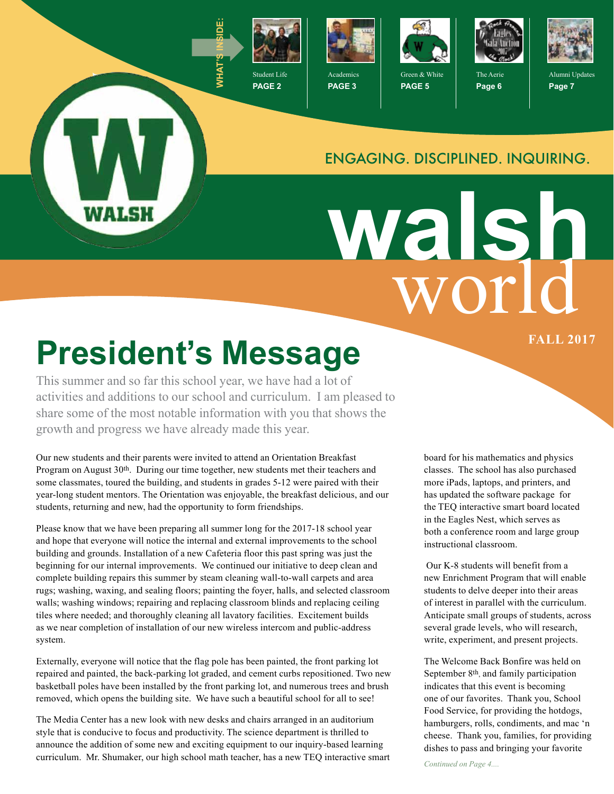

**PAGE 2**



**PAGE 3**



**PAGE 5**



The Aerie **Page 6**



Alumni Updates **Page 7**

#### ENGAGING. DISCIPLINED. INQUIRING.

# world **walsh**

## **President's Message Exercise President's Message**

WALSH

This summer and so far this school year, we have had a lot of activities and additions to our school and curriculum. I am pleased to share some of the most notable information with you that shows the growth and progress we have already made this year.

Our new students and their parents were invited to attend an Orientation Breakfast Program on August 30th. During our time together, new students met their teachers and some classmates, toured the building, and students in grades 5-12 were paired with their year-long student mentors. The Orientation was enjoyable, the breakfast delicious, and our students, returning and new, had the opportunity to form friendships.

Please know that we have been preparing all summer long for the 2017-18 school year and hope that everyone will notice the internal and external improvements to the school building and grounds. Installation of a new Cafeteria floor this past spring was just the beginning for our internal improvements. We continued our initiative to deep clean and complete building repairs this summer by steam cleaning wall-to-wall carpets and area rugs; washing, waxing, and sealing floors; painting the foyer, halls, and selected classroom walls; washing windows; repairing and replacing classroom blinds and replacing ceiling tiles where needed; and thoroughly cleaning all lavatory facilities. Excitement builds as we near completion of installation of our new wireless intercom and public-address system.

Externally, everyone will notice that the flag pole has been painted, the front parking lot repaired and painted, the back-parking lot graded, and cement curbs repositioned. Two new basketball poles have been installed by the front parking lot, and numerous trees and brush removed, which opens the building site. We have such a beautiful school for all to see!

The Media Center has a new look with new desks and chairs arranged in an auditorium style that is conducive to focus and productivity. The science department is thrilled to announce the addition of some new and exciting equipment to our inquiry-based learning curriculum. Mr. Shumaker, our high school math teacher, has a new TEQ interactive smart

board for his mathematics and physics classes. The school has also purchased more iPads, laptops, and printers, and has updated the software package for the TEQ interactive smart board located in the Eagles Nest, which serves as both a conference room and large group instructional classroom.

 Our K-8 students will benefit from a new Enrichment Program that will enable students to delve deeper into their areas of interest in parallel with the curriculum. Anticipate small groups of students, across several grade levels, who will research, write, experiment, and present projects.

The Welcome Back Bonfire was held on September 8<sup>th</sup>, and family participation indicates that this event is becoming one of our favorites. Thank you, School Food Service, for providing the hotdogs, hamburgers, rolls, condiments, and mac 'n cheese. Thank you, families, for providing dishes to pass and bringing your favorite

*Continued on Page 4....*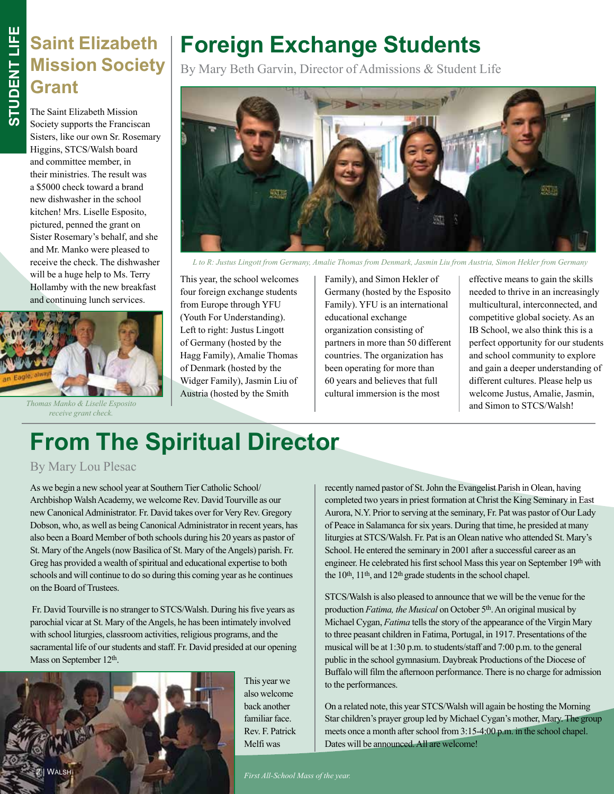#### **Saint Elizabeth Mission Society Grant**

The Saint Elizabeth Mission Society supports the Franciscan Sisters, like our own Sr. Rosemary Higgins, STCS/Walsh board and committee member, in their ministries. The result was a \$5000 check toward a brand new dishwasher in the school kitchen! Mrs. Liselle Esposito, pictured, penned the grant on Sister Rosemary's behalf, and she and Mr. Manko were pleased to receive the check. The dishwasher will be a huge help to Ms. Terry Hollamby with the new breakfast and continuing lunch services.



and Simon to STCS/Walsh! *Thomas Manko & Liselle Esposito receive grant check.* 

#### **Foreign Exchange Students**

By Mary Beth Garvin, Director of Admissions & Student Life



*L to R: Justus Lingott from Germany, Amalie Thomas from Denmark, Jasmin Liu from Austria, Simon Hekler from Germany*

This year, the school welcomes four foreign exchange students from Europe through YFU (Youth For Understanding). Left to right: Justus Lingott of Germany (hosted by the Hagg Family), Amalie Thomas of Denmark (hosted by the Widger Family), Jasmin Liu of Austria (hosted by the Smith

Family), and Simon Hekler of Germany (hosted by the Esposito Family). YFU is an international educational exchange organization consisting of partners in more than 50 different countries. The organization has been operating for more than 60 years and believes that full cultural immersion is the most

effective means to gain the skills needed to thrive in an increasingly multicultural, interconnected, and competitive global society. As an IB School, we also think this is a perfect opportunity for our students and school community to explore and gain a deeper understanding of different cultures. Please help us welcome Justus, Amalie, Jasmin,

## **From The Spiritual Director**

#### By Mary Lou Plesac

As we begin a new school year at Southern Tier Catholic School/ Archbishop Walsh Academy, we welcome Rev. David Tourville as our new Canonical Administrator. Fr. David takes over for Very Rev. Gregory Dobson, who, as well as being Canonical Administrator in recent years, has also been a Board Member of both schools during his 20 years as pastor of St. Mary of the Angels (now Basilica of St. Mary of the Angels) parish. Fr. Greg has provided a wealth of spiritual and educational expertise to both schools and will continue to do so during this coming year as he continues on the Board of Trustees.

 Fr. David Tourville is no stranger to STCS/Walsh. During his five years as parochial vicar at St. Mary of the Angels, he has been intimately involved with school liturgies, classroom activities, religious programs, and the sacramental life of our students and staff. Fr. David presided at our opening Mass on September 12th.



This year we also welcome back another familiar face. Rev. F. Patrick Melfi was

recently named pastor of St. John the Evangelist Parish in Olean, having completed two years in priest formation at Christ the King Seminary in East Aurora, N.Y. Prior to serving at the seminary, Fr. Pat was pastor of Our Lady of Peace in Salamanca for six years. During that time, he presided at many liturgies at STCS/Walsh. Fr. Pat is an Olean native who attended St. Mary's School. He entered the seminary in 2001 after a successful career as an engineer. He celebrated his first school Mass this year on September 19th with the 10<sup>th</sup>, 11<sup>th</sup>, and 12<sup>th</sup> grade students in the school chapel.

STCS/Walsh is also pleased to announce that we will be the venue for the production *Fatima, the Musical* on October 5th. An original musical by Michael Cygan, *Fatima* tells the story of the appearance of the Virgin Mary to three peasant children in Fatima, Portugal, in 1917. Presentations of the musical will be at 1:30 p.m. to students/staff and 7:00 p.m. to the general public in the school gymnasium. Daybreak Productions of the Diocese of Buffalo will film the afternoon performance. There is no charge for admission to the performances.

On a related note, this year STCS/Walsh will again be hosting the Morning Star children's prayer group led by Michael Cygan's mother, Mary. The group meets once a month after school from 3:15-4:00 p.m. in the school chapel. Dates will be announced. All are welcome!

 $First All-School Mass of the year.$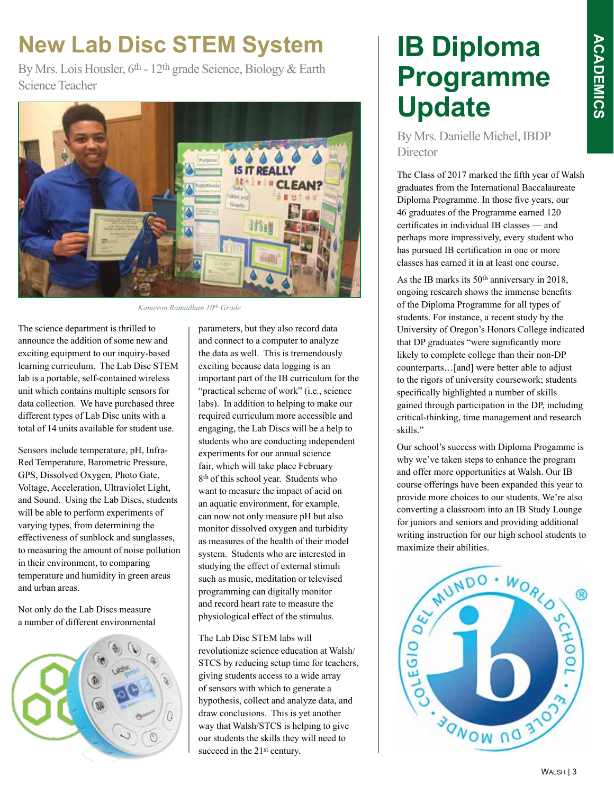# **ACADEMICS ACADEMICS**

#### **New Lab Disc STEM System**

By Mrs. Lois Housler, 6<sup>th</sup> - 12<sup>th</sup> grade Science, Biology & Earth Science Teacher



*Kameron Ramadhan 10th Grade*

The science department is thrilled to announce the addition of some new and exciting equipment to our inquiry-based learning curriculum. The Lab Disc STEM lab is a portable, self-contained wireless unit which contains multiple sensors for data collection. We have purchased three different types of Lab Disc units with a total of 14 units available for student use.

Sensors include temperature, pH, Infra-Red Temperature, Barometric Pressure, GPS, Dissolved Oxygen, Photo Gate, Voltage, Acceleration, Ultraviolet Light, and Sound. Using the Lab Discs, students will be able to perform experiments of varying types, from determining the effectiveness of sunblock and sunglasses, to measuring the amount of noise pollution in their environment, to comparing temperature and humidity in green areas and urban areas.

Not only do the Lab Discs measure a number of different environmental



parameters, but they also record data and connect to a computer to analyze the data as well. This is tremendously exciting because data logging is an important part of the IB curriculum for the "practical scheme of work" (i.e., science labs). In addition to helping to make our required curriculum more accessible and engaging, the Lab Discs will be a help to students who are conducting independent experiments for our annual science fair, which will take place February 8th of this school year. Students who want to measure the impact of acid on an aquatic environment, for example, can now not only measure pH but also monitor dissolved oxygen and turbidity as measures of the health of their model system. Students who are interested in studying the effect of external stimuli such as music, meditation or televised programming can digitally monitor and record heart rate to measure the physiological effect of the stimulus.

The Lab Disc STEM labs will revolutionize science education at Walsh/ STCS by reducing setup time for teachers, giving students access to a wide array of sensors with which to generate a hypothesis, collect and analyze data, and draw conclusions. This is yet another way that Walsh/STCS is helping to give our students the skills they will need to succeed in the 21<sup>st</sup> century.

#### **IB Diploma Programme Update**

By Mrs. Danielle Michel, IBDP **Director** 

The Class of 2017 marked the fifth year of Walsh graduates from the International Baccalaureate Diploma Programme. In those five years, our 46 graduates of the Programme earned 120 certificates in individual IB classes — and perhaps more impressively, every student who has pursued IB certification in one or more classes has earned it in at least one course.

As the IB marks its 50th anniversary in 2018, ongoing research shows the immense benefits of the Diploma Programme for all types of students. For instance, a recent study by the University of Oregon's Honors College indicated that DP graduates "were significantly more likely to complete college than their non-DP counterparts…[and] were better able to adjust to the rigors of university coursework; students specifically highlighted a number of skills gained through participation in the DP, including critical-thinking, time management and research skills."

Our school's success with Diploma Progamme is why we've taken steps to enhance the program and offer more opportunities at Walsh. Our IB course offerings have been expanded this year to provide more choices to our students. We're also converting a classroom into an IB Study Lounge for juniors and seniors and providing additional writing instruction for our high school students to

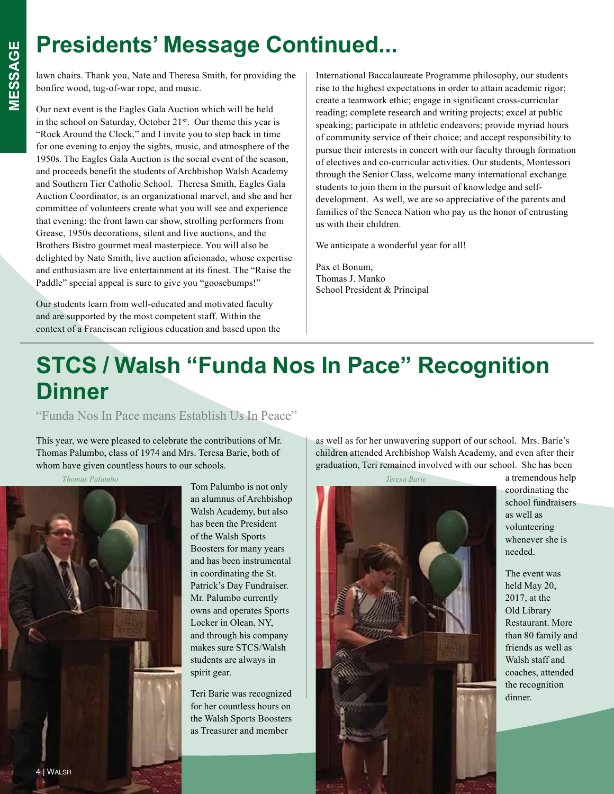#### **Presidents' Message Continued...**

lawn chairs. Thank you, Nate and Theresa Smith, for providing the bonfire wood, tug-of-war rope, and music.

Our next event is the Eagles Gala Auction which will be held in the school on Saturday, October 21st. Our theme this year is "Rock Around the Clock," and I invite you to step back in time for one evening to enjoy the sights, music, and atmosphere of the 1950s. The Eagles Gala Auction is the social event of the season, and proceeds benefit the students of Archbishop Walsh Academy and Southern Tier Catholic School. Theresa Smith, Eagles Gala Auction Coordinator, is an organizational marvel, and she and her committee of volunteers create what you will see and experience that evening: the front lawn car show, strolling performers from Grease, 1950s decorations, silent and live auctions, and the Brothers Bistro gourmet meal masterpiece. You will also be delighted by Nate Smith, live auction aficionado, whose expertise and enthusiasm are live entertainment at its finest. The "Raise the Paddle" special appeal is sure to give you "goosebumps!"

Our students learn from well-educated and motivated faculty and are supported by the most competent staff. Within the context of a Franciscan religious education and based upon the International Baccalaureate Programme philosophy, our students rise to the highest expectations in order to attain academic rigor; create a teamwork ethic; engage in significant cross-curricular reading; complete research and writing projects; excel at public speaking; participate in athletic endeavors; provide myriad hours of community service of their choice; and accept responsibility to pursue their interests in concert with our faculty through formation of electives and co-curricular activities. Our students, Montessori through the Senior Class, welcome many international exchange students to join them in the pursuit of knowledge and selfdevelopment. As well, we are so appreciative of the parents and families of the Seneca Nation who pay us the honor of entrusting us with their children.

We anticipate a wonderful year for all!

Pax et Bonum, Thomas J. Manko School President & Principal

#### **STCS / Walsh "Funda Nos In Pace" Recognition Dinner**

"Funda Nos In Pace means Establish Us In Peace"

This year, we were pleased to celebrate the contributions of Mr. Thomas Palumbo, class of 1974 and Mrs. Teresa Barie, both of whom have given countless hours to our schools.

*Thomas Palumbo*



Tom Palumbo is not only an alumnus of Archbishop Walsh Academy, but also has been the President of the Walsh Sports Boosters for many years and has been instrumental in coordinating the St. Patrick's Day Fundraiser. Mr. Palumbo currently owns and operates Sports Locker in Olean, NY, and through his company makes sure STCS/Walsh students are always in spirit gear.

Teri Barie was recognized for her countless hours on the Walsh Sports Boosters as Treasurer and member

as well as for her unwavering support of our school. Mrs. Barie's children attended Archbishop Walsh Academy, and even after their graduation, Teri remained involved with our school. She has been



a tremendous help coordinating the school fundraisers as well as volunteering whenever she is needed.

The event was held May 20, 2017, at the Old Library Restaurant. More than 80 family and friends as well as Walsh staff and coaches, attended the recognition dinner.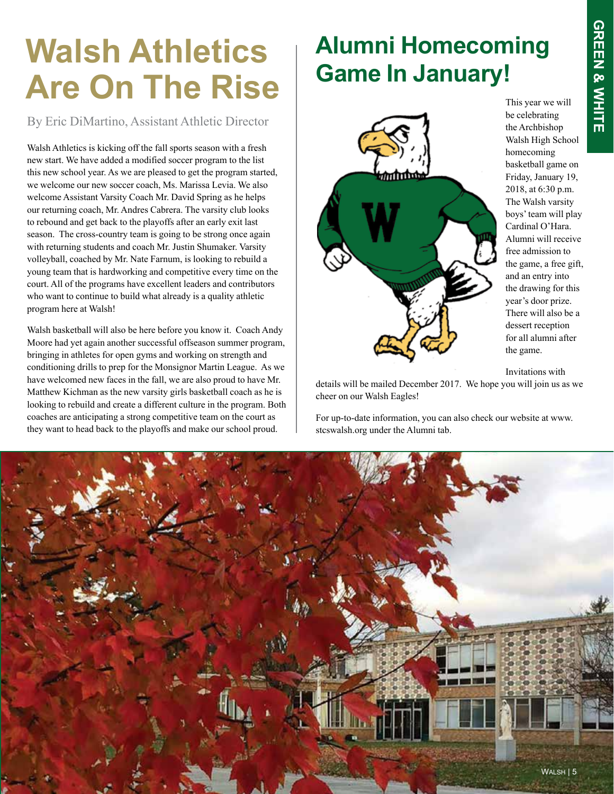## **Walsh Athletics Are On The Rise**

By Eric DiMartino, Assistant Athletic Director

Walsh Athletics is kicking off the fall sports season with a fresh new start. We have added a modified soccer program to the list this new school year. As we are pleased to get the program started, we welcome our new soccer coach, Ms. Marissa Levia. We also welcome Assistant Varsity Coach Mr. David Spring as he helps our returning coach, Mr. Andres Cabrera. The varsity club looks to rebound and get back to the playoffs after an early exit last season. The cross-country team is going to be strong once again with returning students and coach Mr. Justin Shumaker. Varsity volleyball, coached by Mr. Nate Farnum, is looking to rebuild a young team that is hardworking and competitive every time on the court. All of the programs have excellent leaders and contributors who want to continue to build what already is a quality athletic program here at Walsh!

Walsh basketball will also be here before you know it. Coach Andy Moore had yet again another successful offseason summer program, bringing in athletes for open gyms and working on strength and conditioning drills to prep for the Monsignor Martin League. As we have welcomed new faces in the fall, we are also proud to have Mr. Matthew Kichman as the new varsity girls basketball coach as he is looking to rebuild and create a different culture in the program. Both coaches are anticipating a strong competitive team on the court as they want to head back to the playoffs and make our school proud.

#### **Alumni Homecoming Game In January!**



This year we will be celebrating the Archbishop Walsh High School homecoming basketball game on Friday, January 19, 2018, at 6:30 p.m. The Walsh varsity boys' team will play Cardinal O'Hara. Alumni will receive free admission to the game, a free gift, and an entry into the drawing for this year's door prize. There will also be a dessert reception for all alumni after the game.

Invitations with

details will be mailed December 2017. We hope you will join us as we cheer on our Walsh Eagles!

For up-to-date information, you can also check our website at www. stcswalsh.org under the Alumni tab.

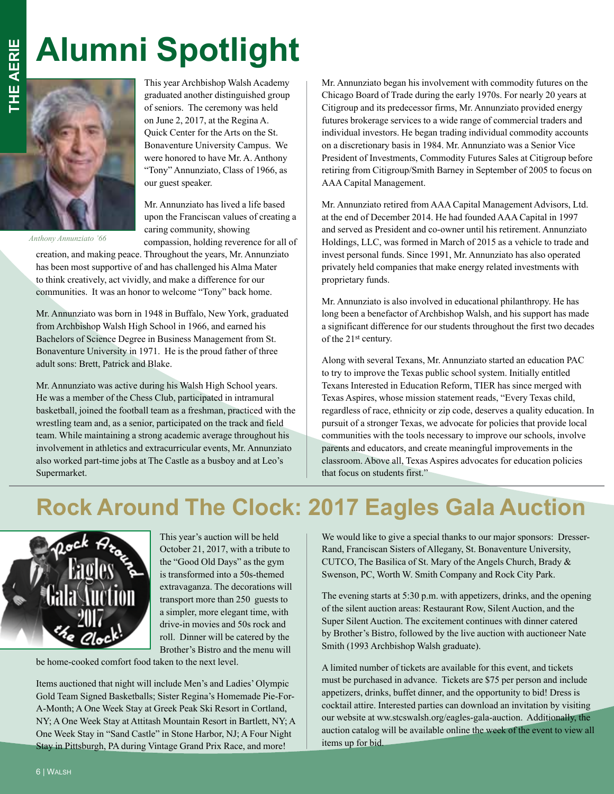## **Alumni Spotlight**



*Anthony Annunziato '66*

This year Archbishop Walsh Academy graduated another distinguished group of seniors. The ceremony was held on June 2, 2017, at the Regina A. Quick Center for the Arts on the St. Bonaventure University Campus. We were honored to have Mr. A. Anthony "Tony" Annunziato, Class of 1966, as our guest speaker.

Mr. Annunziato has lived a life based upon the Franciscan values of creating a caring community, showing

compassion, holding reverence for all of

creation, and making peace. Throughout the years, Mr. Annunziato has been most supportive of and has challenged his Alma Mater to think creatively, act vividly, and make a difference for our communities. It was an honor to welcome "Tony" back home.

Mr. Annunziato was born in 1948 in Buffalo, New York, graduated from Archbishop Walsh High School in 1966, and earned his Bachelors of Science Degree in Business Management from St. Bonaventure University in 1971. He is the proud father of three adult sons: Brett, Patrick and Blake.

Mr. Annunziato was active during his Walsh High School years. He was a member of the Chess Club, participated in intramural basketball, joined the football team as a freshman, practiced with the wrestling team and, as a senior, participated on the track and field team. While maintaining a strong academic average throughout his involvement in athletics and extracurricular events, Mr. Annunziato also worked part-time jobs at The Castle as a busboy and at Leo's Supermarket.

Mr. Annunziato began his involvement with commodity futures on the Chicago Board of Trade during the early 1970s. For nearly 20 years at Citigroup and its predecessor firms, Mr. Annunziato provided energy futures brokerage services to a wide range of commercial traders and individual investors. He began trading individual commodity accounts on a discretionary basis in 1984. Mr. Annunziato was a Senior Vice President of Investments, Commodity Futures Sales at Citigroup before retiring from Citigroup/Smith Barney in September of 2005 to focus on AAA Capital Management.

Mr. Annunziato retired from AAA Capital Management Advisors, Ltd. at the end of December 2014. He had founded AAA Capital in 1997 and served as President and co-owner until his retirement. Annunziato Holdings, LLC, was formed in March of 2015 as a vehicle to trade and invest personal funds. Since 1991, Mr. Annunziato has also operated privately held companies that make energy related investments with proprietary funds.

Mr. Annunziato is also involved in educational philanthropy. He has long been a benefactor of Archbishop Walsh, and his support has made a significant difference for our students throughout the first two decades of the 21st century.

Along with several Texans, Mr. Annunziato started an education PAC to try to improve the Texas public school system. Initially entitled Texans Interested in Education Reform, TIER has since merged with Texas Aspires, whose mission statement reads, "Every Texas child, regardless of race, ethnicity or zip code, deserves a quality education. In pursuit of a stronger Texas, we advocate for policies that provide local communities with the tools necessary to improve our schools, involve parents and educators, and create meaningful improvements in the classroom. Above all, Texas Aspires advocates for education policies that focus on students first."

#### **Rock Around The Clock: 2017 Eagles Gala Auction**



This year's auction will be held October 21, 2017, with a tribute to the "Good Old Days" as the gym is transformed into a 50s-themed extravaganza. The decorations will transport more than 250 guests to a simpler, more elegant time, with drive-in movies and 50s rock and roll. Dinner will be catered by the Brother's Bistro and the menu will

be home-cooked comfort food taken to the next level.

Items auctioned that night will include Men's and Ladies' Olympic Gold Team Signed Basketballs; Sister Regina's Homemade Pie-For-A-Month; A One Week Stay at Greek Peak Ski Resort in Cortland, NY; A One Week Stay at Attitash Mountain Resort in Bartlett, NY; A One Week Stay in "Sand Castle" in Stone Harbor, NJ; A Four Night Stay in Pittsburgh, PA during Vintage Grand Prix Race, and more!

We would like to give a special thanks to our major sponsors: Dresser-Rand, Franciscan Sisters of Allegany, St. Bonaventure University, CUTCO, The Basilica of St. Mary of the Angels Church, Brady & Swenson, PC, Worth W. Smith Company and Rock City Park.

The evening starts at 5:30 p.m. with appetizers, drinks, and the opening of the silent auction areas: Restaurant Row, Silent Auction, and the Super Silent Auction. The excitement continues with dinner catered by Brother's Bistro, followed by the live auction with auctioneer Nate Smith (1993 Archbishop Walsh graduate).

A limited number of tickets are available for this event, and tickets must be purchased in advance. Tickets are \$75 per person and include appetizers, drinks, buffet dinner, and the opportunity to bid! Dress is cocktail attire. Interested parties can download an invitation by visiting our website at ww.stcswalsh.org/eagles-gala-auction. Additionally, the auction catalog will be available online the week of the event to view all items up for bid.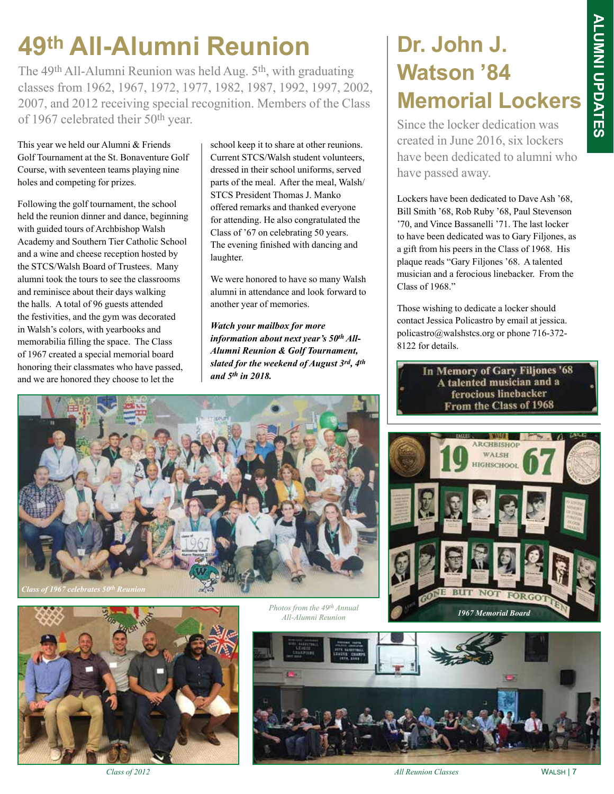### **49th All-Alumni Reunion**

The 49th All-Alumni Reunion was held Aug. 5th, with graduating classes from 1962, 1967, 1972, 1977, 1982, 1987, 1992, 1997, 2002, 2007, and 2012 receiving special recognition. Members of the Class of 1967 celebrated their 50th year.

This year we held our Alumni & Friends Golf Tournament at the St. Bonaventure Golf Course, with seventeen teams playing nine holes and competing for prizes.

Following the golf tournament, the school held the reunion dinner and dance, beginning with guided tours of Archbishop Walsh Academy and Southern Tier Catholic School and a wine and cheese reception hosted by the STCS/Walsh Board of Trustees. Many alumni took the tours to see the classrooms and reminisce about their days walking the halls. A total of 96 guests attended the festivities, and the gym was decorated in Walsh's colors, with yearbooks and memorabilia filling the space. The Class of 1967 created a special memorial board honoring their classmates who have passed, and we are honored they choose to let the

school keep it to share at other reunions. Current STCS/Walsh student volunteers, dressed in their school uniforms, served parts of the meal. After the meal, Walsh/ STCS President Thomas J. Manko offered remarks and thanked everyone for attending. He also congratulated the Class of '67 on celebrating 50 years. The evening finished with dancing and laughter.

We were honored to have so many Walsh alumni in attendance and look forward to another year of memories.

*Watch your mailbox for more information about next year's 50th All-Alumni Reunion & Golf Tournament, slated for the weekend of August 3rd, 4th and 5th in 2018.*

#### **Dr. John J. Watson '84 Memorial Lockers**

Since the locker dedication was created in June 2016, six lockers have been dedicated to alumni who have passed away.

Lockers have been dedicated to Dave Ash '68, Bill Smith '68, Rob Ruby '68, Paul Stevenson '70, and Vince Bassanelli '71. The last locker to have been dedicated was to Gary Filjones, as a gift from his peers in the Class of 1968. His plaque reads "Gary Filjones '68. A talented musician and a ferocious linebacker. From the Class of 1968."

Those wishing to dedicate a locker should contact Jessica Policastro by email at jessica. policastro@walshstcs.org or phone 716-372- 8122 for details.

> In Memory of Gary Filjones '68 A talented musician and a ferocious linebacker From the Class of 1968











*Class of 2012 All Reunion Classes*